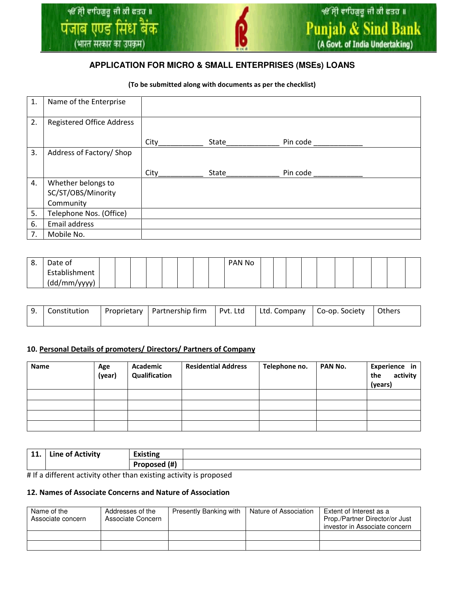## **APPLICATION FOR MICRO & SMALL ENTERPRISES (MSEs) LOANS**

#### (To be submitted along with documents as per the checklist)

| 1. | Name of the Enterprise                   |      |       |          |  |
|----|------------------------------------------|------|-------|----------|--|
| 2. | <b>Registered Office Address</b>         |      |       |          |  |
|    |                                          | City | State | Pin code |  |
| 3. | Address of Factory/ Shop                 |      |       |          |  |
|    |                                          |      |       |          |  |
|    |                                          | City | State | Pin code |  |
| 4. | Whether belongs to<br>SC/ST/OBS/Minority |      |       |          |  |
|    | Community                                |      |       |          |  |
| 5. | Telephone Nos. (Office)                  |      |       |          |  |
| 6. | Email address                            |      |       |          |  |

| റ<br>о. | Date of       |  |  |  |  | PAN No |  |  |  |  |  |
|---------|---------------|--|--|--|--|--------|--|--|--|--|--|
|         | Establishment |  |  |  |  |        |  |  |  |  |  |
|         | (dd/mm/yyyy)  |  |  |  |  |        |  |  |  |  |  |

| $^{\prime}$ 9. | Constitution | Proprietary | Partnership firm   Pvt. Ltd   Ltd. Company |  | Co-op. Society | Others |
|----------------|--------------|-------------|--------------------------------------------|--|----------------|--------|
|                |              |             |                                            |  |                |        |

### 10. Personal Details of promoters/ Directors/ Partners of Company

| <b>Name</b> | Age<br>(year) | Academic<br>Qualification | <b>Residential Address</b> | Telephone no. | PAN No. | Experience in<br>activity<br>the<br>(years) |
|-------------|---------------|---------------------------|----------------------------|---------------|---------|---------------------------------------------|
|             |               |                           |                            |               |         |                                             |
|             |               |                           |                            |               |         |                                             |
|             |               |                           |                            |               |         |                                             |
|             |               |                           |                            |               |         |                                             |

| 11. | Line of Activity | Existing     |  |
|-----|------------------|--------------|--|
|     |                  | Proposed (#) |  |

# If a different activity other than existing activity is proposed

#### 12. Names of Associate Concerns and Nature of Association

| Name of the<br>Associate concern | Addresses of the<br>Associate Concern | <b>Presently Banking with</b> | Nature of Association | Extent of Interest as a<br>Prop./Partner Director/or Just<br>investor in Associate concern |
|----------------------------------|---------------------------------------|-------------------------------|-----------------------|--------------------------------------------------------------------------------------------|
|                                  |                                       |                               |                       |                                                                                            |
|                                  |                                       |                               |                       |                                                                                            |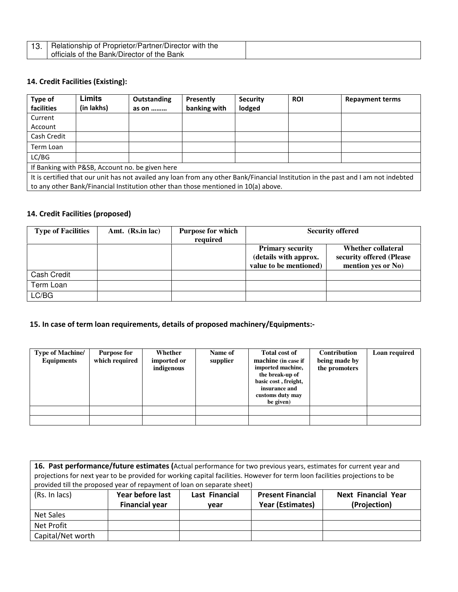|     | <sup>1</sup> Relationship of Proprietor/Partner/Director with the |  |
|-----|-------------------------------------------------------------------|--|
| . ب |                                                                   |  |
|     | officials of the Bank/Director of the Bank                        |  |
|     |                                                                   |  |

## 14. Credit Facilities (Existing):

| Type of<br>facilities                                                                                                              | Limits<br>(in lakhs)                                                               | Outstanding<br>as on | Presently<br>banking with | <b>Security</b><br>lodged | <b>ROI</b> | <b>Repayment terms</b> |  |  |
|------------------------------------------------------------------------------------------------------------------------------------|------------------------------------------------------------------------------------|----------------------|---------------------------|---------------------------|------------|------------------------|--|--|
| Current                                                                                                                            |                                                                                    |                      |                           |                           |            |                        |  |  |
| Account                                                                                                                            |                                                                                    |                      |                           |                           |            |                        |  |  |
| Cash Credit                                                                                                                        |                                                                                    |                      |                           |                           |            |                        |  |  |
| Term Loan                                                                                                                          |                                                                                    |                      |                           |                           |            |                        |  |  |
| LC/BG                                                                                                                              |                                                                                    |                      |                           |                           |            |                        |  |  |
| If Banking with P&SB, Account no. be given here                                                                                    |                                                                                    |                      |                           |                           |            |                        |  |  |
| It is certified that our unit has not availed any loan from any other Bank/Financial Institution in the past and I am not indebted |                                                                                    |                      |                           |                           |            |                        |  |  |
|                                                                                                                                    | to any other Bank/Financial Institution other than those mentioned in 10(a) above. |                      |                           |                           |            |                        |  |  |

# 14. Credit Facilities (proposed)

| <b>Type of Facilities</b> | Amt. (Rs.in lac) | Purpose for which<br>required | <b>Security offered</b>                                                    |                                                                      |  |
|---------------------------|------------------|-------------------------------|----------------------------------------------------------------------------|----------------------------------------------------------------------|--|
|                           |                  |                               | <b>Primary security</b><br>(details with approx.<br>value to be mentioned) | Whether collateral<br>security offered (Please<br>mention yes or No) |  |
| Cash Credit               |                  |                               |                                                                            |                                                                      |  |
| Term Loan                 |                  |                               |                                                                            |                                                                      |  |
| LC/BG                     |                  |                               |                                                                            |                                                                      |  |

## 15. In case of term loan requirements, details of proposed machinery/Equipments:-

| <b>Type of Machine/</b><br><b>Equipments</b> | <b>Purpose for</b><br>which required | Whether<br>imported or<br>indigenous | Name of<br>supplier | <b>Total cost of</b><br>machine (in case if<br>imported machine,<br>the break-up of<br>basic cost, freight,<br>insurance and<br>customs duty may<br>be given) | <b>Contribution</b><br>being made by<br>the promoters | Loan required |
|----------------------------------------------|--------------------------------------|--------------------------------------|---------------------|---------------------------------------------------------------------------------------------------------------------------------------------------------------|-------------------------------------------------------|---------------|
|                                              |                                      |                                      |                     |                                                                                                                                                               |                                                       |               |
|                                              |                                      |                                      |                     |                                                                                                                                                               |                                                       |               |

| 16. Past performance/future estimates (Actual performance for two previous years, estimates for current year and<br>projections for next year to be provided for working capital facilities. However for term loon facilities projections to be<br>provided till the proposed year of repayment of loan on separate sheet) |                                                                                                     |      |                         |              |  |  |  |
|----------------------------------------------------------------------------------------------------------------------------------------------------------------------------------------------------------------------------------------------------------------------------------------------------------------------------|-----------------------------------------------------------------------------------------------------|------|-------------------------|--------------|--|--|--|
| (Rs. In lacs)                                                                                                                                                                                                                                                                                                              | Year before last<br><b>Last Financial</b><br><b>Next Financial Year</b><br><b>Present Financial</b> |      |                         |              |  |  |  |
|                                                                                                                                                                                                                                                                                                                            | <b>Financial year</b>                                                                               | vear | <b>Year (Estimates)</b> | (Projection) |  |  |  |
| Net Sales                                                                                                                                                                                                                                                                                                                  |                                                                                                     |      |                         |              |  |  |  |
| Net Profit                                                                                                                                                                                                                                                                                                                 |                                                                                                     |      |                         |              |  |  |  |
| Capital/Net worth                                                                                                                                                                                                                                                                                                          |                                                                                                     |      |                         |              |  |  |  |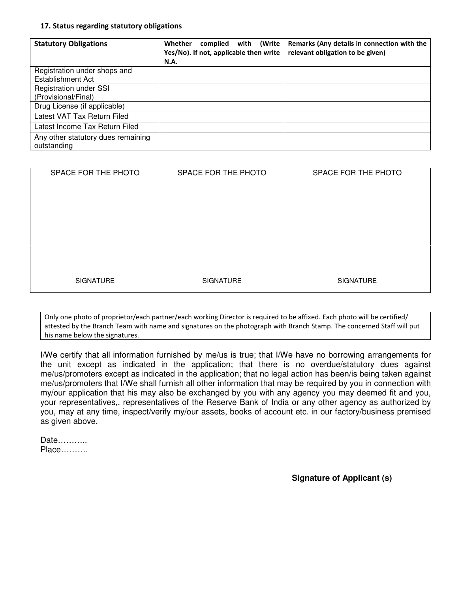#### 17. Status regarding statutory obligations

| <b>Statutory Obligations</b>                             | Whether<br>(Write<br>complied<br>with<br>Yes/No). If not, applicable then write<br><b>N.A.</b> | Remarks (Any details in connection with the<br>relevant obligation to be given) |
|----------------------------------------------------------|------------------------------------------------------------------------------------------------|---------------------------------------------------------------------------------|
| Registration under shops and<br><b>Establishment Act</b> |                                                                                                |                                                                                 |
| <b>Registration under SSI</b><br>(Provisional/Final)     |                                                                                                |                                                                                 |
| Drug License (if applicable)                             |                                                                                                |                                                                                 |
| Latest VAT Tax Return Filed                              |                                                                                                |                                                                                 |
| Latest Income Tax Return Filed                           |                                                                                                |                                                                                 |
| Any other statutory dues remaining<br>outstanding        |                                                                                                |                                                                                 |

| SPACE FOR THE PHOTO | SPACE FOR THE PHOTO | SPACE FOR THE PHOTO |
|---------------------|---------------------|---------------------|
|                     |                     |                     |
|                     |                     |                     |
|                     |                     |                     |
| <b>SIGNATURE</b>    | <b>SIGNATURE</b>    | <b>SIGNATURE</b>    |

Only one photo of proprietor/each partner/each working Director is required to be affixed. Each photo will be certified/ attested by the Branch Team with name and signatures on the photograph with Branch Stamp. The concerned Staff will put his name below the signatures.

I/We certify that all information furnished by me/us is true; that I/We have no borrowing arrangements for the unit except as indicated in the application; that there is no overdue/statutory dues against me/us/promoters except as indicated in the application; that no legal action has been/is being taken against me/us/promoters that I/We shall furnish all other information that may be required by you in connection with my/our application that his may also be exchanged by you with any agency you may deemed fit and you, your representatives,. representatives of the Reserve Bank of India or any other agency as authorized by you, may at any time, inspect/verify my/our assets, books of account etc. in our factory/business premised as given above.

Date……….. Place……….

 **Signature of Applicant (s)**